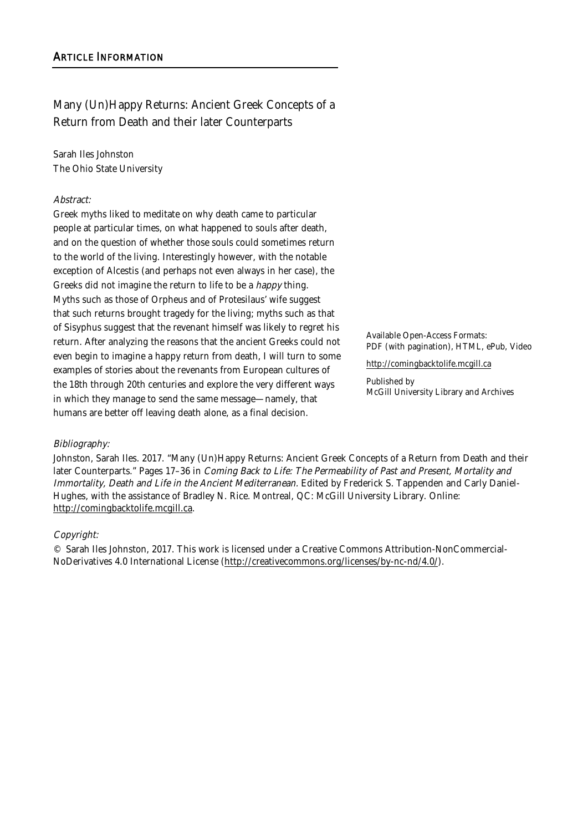## Many (Un)Happy Returns: Ancient Greek Concepts of a Return from Death and their later Counterparts

Sarah Iles Johnston The Ohio State University

#### Abstract:

Greek myths liked to meditate on why death came to particular people at particular times, on what happened to souls after death, and on the question of whether those souls could sometimes return to the world of the living. Interestingly however, with the notable exception of Alcestis (and perhaps not even always in her case), the Greeks did not imagine the return to life to be a happy thing. Myths such as those of Orpheus and of Protesilaus' wife suggest that such returns brought tragedy for the living; myths such as that of Sisyphus suggest that the revenant himself was likely to regret his return. After analyzing the reasons that the ancient Greeks could not even begin to imagine a happy return from death, I will turn to some examples of stories about the revenants from European cultures of the 18th through 20th centuries and explore the very different ways in which they manage to send the same message—namely, that humans are better off leaving death alone, as a final decision.

Available Open-Access Formats: PDF (with pagination), HTML, ePub, Video

http://comingbacktolife.mcgill.ca

Published by McGill University Library and Archives

#### Bibliography:

Johnston, Sarah Iles. 2017. "Many (Un)Happy Returns: Ancient Greek Concepts of a Return from Death and their later Counterparts." Pages 17–36 in *Coming Back to Life: The Permeability of Past and Present, Mortality and* Immortality, Death and Life in the Ancient Mediterranean. Edited by Frederick S. Tappenden and Carly Daniel-Hughes, with the assistance of Bradley N. Rice. Montreal, QC: McGill University Library. Online: http://comingbacktolife.mcgill.ca.

#### Copyright:

© Sarah Iles Johnston, 2017. This work is licensed under a Creative Commons Attribution-NonCommercial-NoDerivatives 4.0 International License (http://creativecommons.org/licenses/by-nc-nd/4.0/).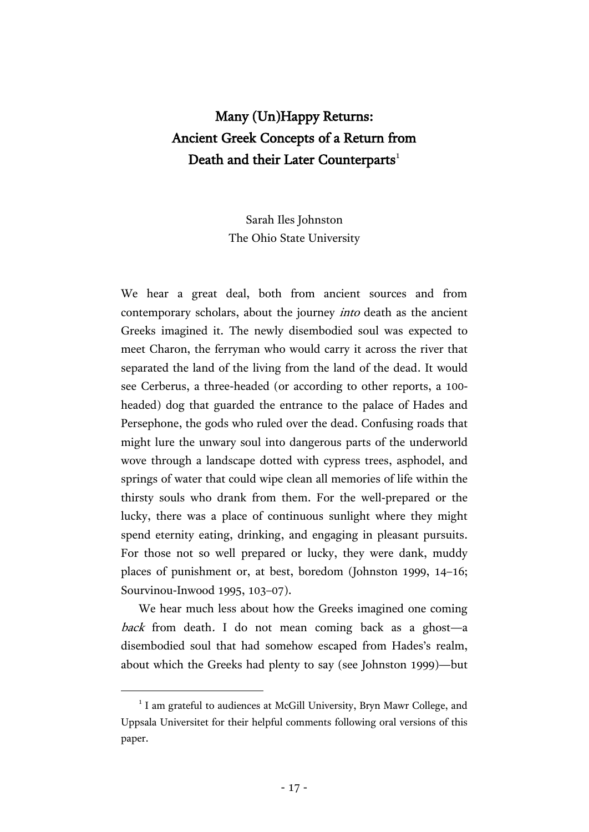# Many (Un)Happy Returns: Ancient Greek Concepts of a Return from Death and their Later Counterparts<sup>1</sup>

Sarah Iles Johnston The Ohio State University

We hear a great deal, both from ancient sources and from contemporary scholars, about the journey into death as the ancient Greeks imagined it. The newly disembodied soul was expected to meet Charon, the ferryman who would carry it across the river that separated the land of the living from the land of the dead. It would see Cerberus, a three-headed (or according to other reports, a 100 headed) dog that guarded the entrance to the palace of Hades and Persephone, the gods who ruled over the dead. Confusing roads that might lure the unwary soul into dangerous parts of the underworld wove through a landscape dotted with cypress trees, asphodel, and springs of water that could wipe clean all memories of life within the thirsty souls who drank from them. For the well-prepared or the lucky, there was a place of continuous sunlight where they might spend eternity eating, drinking, and engaging in pleasant pursuits. For those not so well prepared or lucky, they were dank, muddy places of punishment or, at best, boredom (Johnston 1999, 14–16; Sourvinou-Inwood 1995, 103–07).

We hear much less about how the Greeks imagined one coming back from death. I do not mean coming back as a ghost—a disembodied soul that had somehow escaped from Hades's realm, about which the Greeks had plenty to say (see Johnston 1999)—but

<sup>&</sup>lt;sup>1</sup> I am grateful to audiences at McGill University, Bryn Mawr College, and Uppsala Universitet for their helpful comments following oral versions of this paper.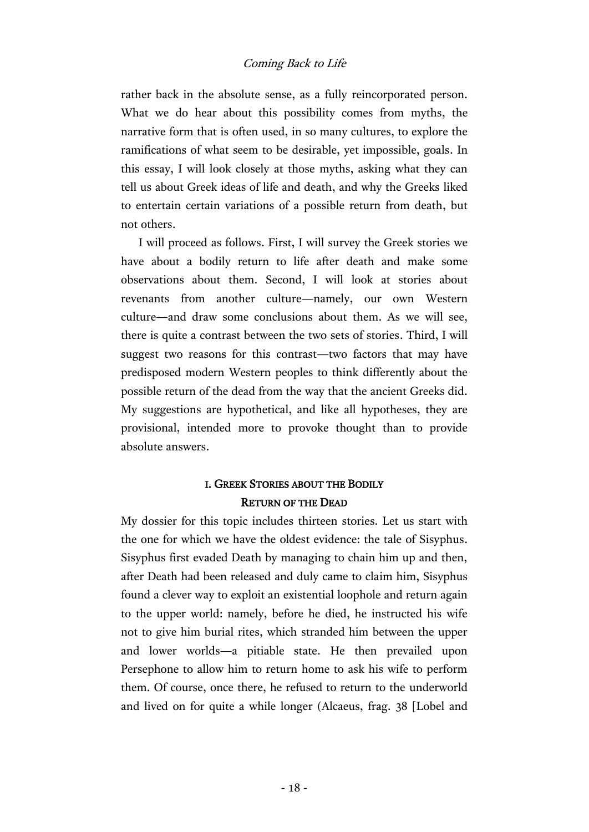rather back in the absolute sense, as a fully reincorporated person. What we do hear about this possibility comes from myths, the narrative form that is often used, in so many cultures, to explore the ramifications of what seem to be desirable, yet impossible, goals. In this essay, I will look closely at those myths, asking what they can tell us about Greek ideas of life and death, and why the Greeks liked to entertain certain variations of a possible return from death, but not others.

I will proceed as follows. First, I will survey the Greek stories we have about a bodily return to life after death and make some observations about them. Second, I will look at stories about revenants from another culture—namely, our own Western culture—and draw some conclusions about them. As we will see, there is quite a contrast between the two sets of stories. Third, I will suggest two reasons for this contrast—two factors that may have predisposed modern Western peoples to think differently about the possible return of the dead from the way that the ancient Greeks did. My suggestions are hypothetical, and like all hypotheses, they are provisional, intended more to provoke thought than to provide absolute answers.

# I. GREEK STORIES ABOUT THE BODILY RETURN OF THE DEAD

My dossier for this topic includes thirteen stories. Let us start with the one for which we have the oldest evidence: the tale of Sisyphus. Sisyphus first evaded Death by managing to chain him up and then, after Death had been released and duly came to claim him, Sisyphus found a clever way to exploit an existential loophole and return again to the upper world: namely, before he died, he instructed his wife not to give him burial rites, which stranded him between the upper and lower worlds—a pitiable state. He then prevailed upon Persephone to allow him to return home to ask his wife to perform them. Of course, once there, he refused to return to the underworld and lived on for quite a while longer (Alcaeus, frag. 38 [Lobel and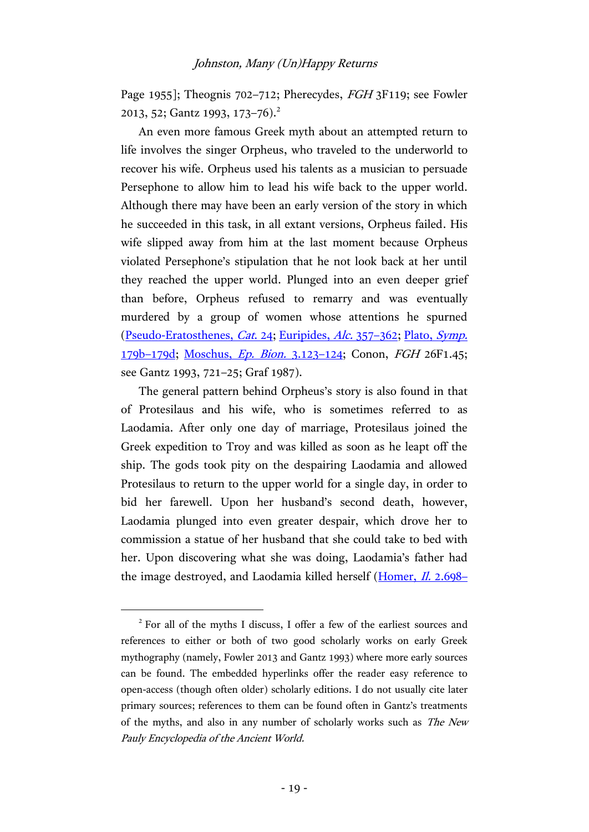Page 1955]; Theognis 702-712; Pherecydes, *FGH* 3F119; see Fowler 2013, 52; Gantz 1993, 173-76).<sup>2</sup>

An even more famous Greek myth about an attempted return to life involves the singer Orpheus, who traveled to the underworld to recover his wife. Orpheus used his talents as a musician to persuade Persephone to allow him to lead his wife back to the upper world. Although there may have been an early version of the story in which he succeeded in this task, in all extant versions, Orpheus failed. His wife slipped away from him at the last moment because Orpheus violated Persephone's stipulation that he not look back at her until they reached the upper world. Plunged into an even deeper grief than before, Orpheus refused to remarry and was eventually murdered by a group of women whose attentions he spurned [\(Pseudo-Eratosthenes,](https://archive.org/stream/mythographigrae00olivgoog#page/n49/mode/2up) Cat. 24; [Euripides,](http://data.perseus.org/citations/urn:cts:greekLit:tlg0006.tlg002.perseus-grc1:328-370) Alc. 357–362; Plato, [Symp.](http://data.perseus.org/citations/urn:cts:greekLit:tlg0059.tlg011.perseus-grc1:179b)  179b–[179d;](http://data.perseus.org/citations/urn:cts:greekLit:tlg0059.tlg011.perseus-grc1:179b) [Moschus,](https://archive.org/stream/greekbucolicpoet00theouoft#page/454/mode/2up) Ep. Bion. 3.123–124; Conon, FGH 26F1.45; see Gantz 1993, 721–25; Graf 1987).

The general pattern behind Orpheus's story is also found in that of Protesilaus and his wife, who is sometimes referred to as Laodamia. After only one day of marriage, Protesilaus joined the Greek expedition to Troy and was killed as soon as he leapt off the ship. The gods took pity on the despairing Laodamia and allowed Protesilaus to return to the upper world for a single day, in order to bid her farewell. Upon her husband's second death, however, Laodamia plunged into even greater despair, which drove her to commission a statue of her husband that she could take to bed with her. Upon discovering what she was doing, Laodamia's father had the image destroyed, and Laodamia killed herself [\(Homer,](https://archive.org/stream/iliadmurray01homeuoft#page/102/mode/2up) Il. 2.698–

<sup>&</sup>lt;sup>2</sup> For all of the myths I discuss, I offer a few of the earliest sources and references to either or both of two good scholarly works on early Greek mythography (namely, Fowler 2013 and Gantz 1993) where more early sources can be found. The embedded hyperlinks offer the reader easy reference to open-access (though often older) scholarly editions. I do not usually cite later primary sources; references to them can be found often in Gantz's treatments of the myths, and also in any number of scholarly works such as The New Pauly Encyclopedia of the Ancient World.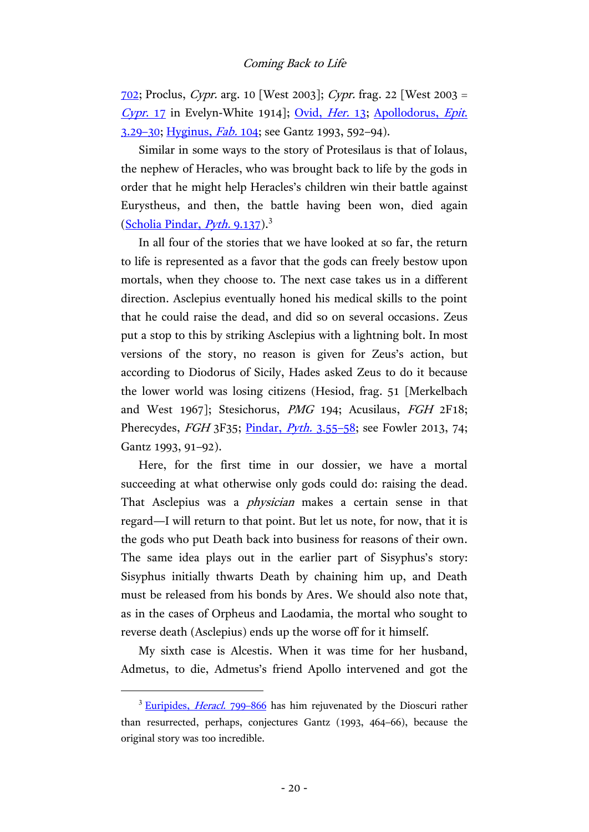[702;](https://archive.org/stream/iliadmurray01homeuoft#page/102/mode/2up) Proclus, *Cypr.* arg. 10 [West 2003]; *Cypr.* frag. 22 [West 2003 = [Cypr](http://hdl.handle.net/2027/mdp.39015005559995?urlappend=%3Bseq=560). 17 in Evelyn-White 1914]; [Ovid,](https://archive.org/stream/heroidesamores00ovid#page/158/mode/2up) Her. 13; [Apollodorus,](http://hdl.handle.net/2027/iau.31858052742800?urlappend=%3Bseq=210) Epit. [3.29](http://hdl.handle.net/2027/iau.31858052742800?urlappend=%3Bseq=210)–30; [Hyginus,](http://www.theoi.com/Text/HyginusFabulae3.html#104) *Fab.* 104; see Gantz 1993, 592–94).

Similar in some ways to the story of Protesilaus is that of Iolaus, the nephew of Heracles, who was brought back to life by the gods in order that he might help Heracles's children win their battle against Eurystheus, and then, the battle having been won, died again [\(Scholia](https://archive.org/stream/scholiaveterainp02drac#page/233/mode/2up) Pindar, Pyth. 9.137).<sup>3</sup>

In all four of the stories that we have looked at so far, the return to life is represented as a favor that the gods can freely bestow upon mortals, when they choose to. The next case takes us in a different direction. Asclepius eventually honed his medical skills to the point that he could raise the dead, and did so on several occasions. Zeus put a stop to this by striking Asclepius with a lightning bolt. In most versions of the story, no reason is given for Zeus's action, but according to Diodorus of Sicily, Hades asked Zeus to do it because the lower world was losing citizens (Hesiod, frag. 51 [Merkelbach and West 1967]; Stesichorus, PMG 194; Acusilaus, FGH 2F18; Pherecydes, FGH 3F35; [Pindar,](https://archive.org/stream/odesofpindarsand00pinduoft#page/190/mode/2up) Pyth. 3.55–58; see Fowler 2013, 74; Gantz 1993, 91–92).

Here, for the first time in our dossier, we have a mortal succeeding at what otherwise only gods could do: raising the dead. That Asclepius was a physician makes a certain sense in that regard—I will return to that point. But let us note, for now, that it is the gods who put Death back into business for reasons of their own. The same idea plays out in the earlier part of Sisyphus's story: Sisyphus initially thwarts Death by chaining him up, and Death must be released from his bonds by Ares. We should also note that, as in the cases of Orpheus and Laodamia, the mortal who sought to reverse death (Asclepius) ends up the worse off for it himself.

My sixth case is Alcestis. When it was time for her husband, Admetus, to die, Admetus's friend Apollo intervened and got the

<sup>&</sup>lt;sup>3</sup> [Euripides,](http://data.perseus.org/citations/urn:cts:greekLit:tlg0006.tlg004.perseus-grc1:784-829) *Heracl.* 799-866 has him rejuvenated by the Dioscuri rather than resurrected, perhaps, conjectures Gantz (1993, 464–66), because the original story was too incredible.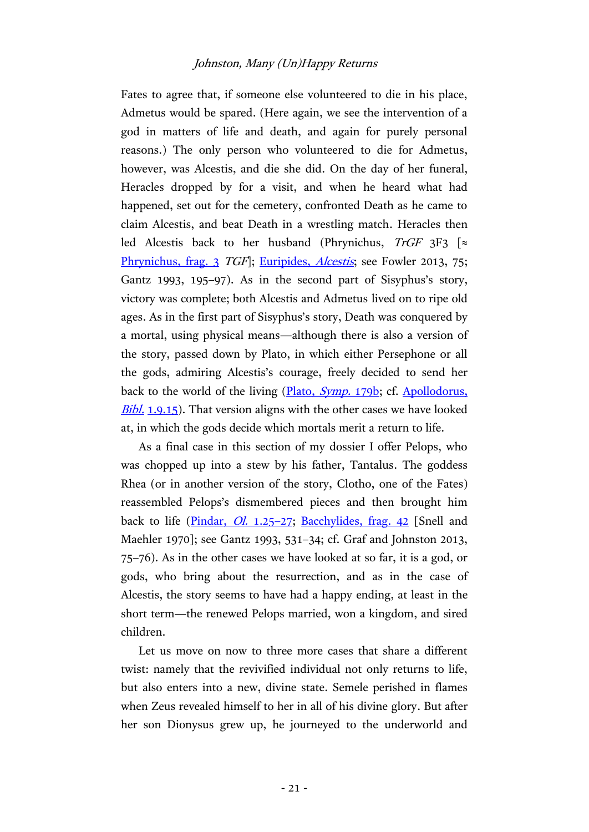Fates to agree that, if someone else volunteered to die in his place, Admetus would be spared. (Here again, we see the intervention of a god in matters of life and death, and again for purely personal reasons.) The only person who volunteered to die for Admetus, however, was Alcestis, and die she did. On the day of her funeral, Heracles dropped by for a visit, and when he heard what had happened, set out for the cemetery, confronted Death as he came to claim Alcestis, and beat Death in a wrestling match. Heracles then led Alcestis back to her husband (Phrynichus,  $T r G F$  3F3 [ $\approx$ [Phrynichus,](https://archive.org/stream/tragicorumgraeco00naucuoft#page/720/mode/1up) frag. 3 TGF]; [Euripides,](http://data.perseus.org/citations/urn:cts:greekLit:tlg0006.tlg002.perseus-eng1:1-27) Alcestis; see Fowler 2013, 75; Gantz 1993, 195–97). As in the second part of Sisyphus's story, victory was complete; both Alcestis and Admetus lived on to ripe old ages. As in the first part of Sisyphus's story, Death was conquered by a mortal, using physical means—although there is also a version of the story, passed down by Plato, in which either Persephone or all the gods, admiring Alcestis's courage, freely decided to send her back to the world of the living (Plato, [Symp.](http://data.perseus.org/citations/urn:cts:greekLit:tlg0059.tlg011.perseus-grc1:179b) 179b; cf. [Apollodorus,](http://hdl.handle.net/2027/iau.31858032506697?urlappend=%3Bseq=154) Bibl. [1.9.15\)](http://hdl.handle.net/2027/iau.31858032506697?urlappend=%3Bseq=154). That version aligns with the other cases we have looked at, in which the gods decide which mortals merit a return to life.

As a final case in this section of my dossier I offer Pelops, who was chopped up into a stew by his father, Tantalus. The goddess Rhea (or in another version of the story, Clotho, one of the Fates) reassembled Pelops's dismembered pieces and then brought him back to life [\(Pindar,](https://archive.org/stream/odesofpindarsand00pinduoft#page/6/mode/2up) *Ol.* 1.25-27; [Bacchylides,](https://archive.org/stream/bacchylidiscarm00baccgoog#page/n270/mode/1up) frag. 42 [Snell and Maehler 1970]; see Gantz 1993, 531–34; cf. Graf and Johnston 2013, 75–76). As in the other cases we have looked at so far, it is a god, or gods, who bring about the resurrection, and as in the case of Alcestis, the story seems to have had a happy ending, at least in the short term—the renewed Pelops married, won a kingdom, and sired children.

Let us move on now to three more cases that share a different twist: namely that the revivified individual not only returns to life, but also enters into a new, divine state. Semele perished in flames when Zeus revealed himself to her in all of his divine glory. But after her son Dionysus grew up, he journeyed to the underworld and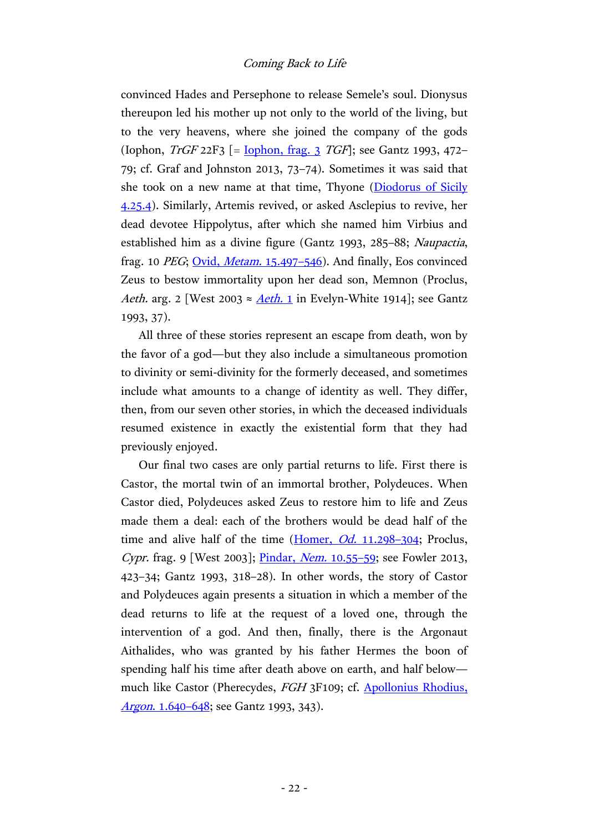convinced Hades and Persephone to release Semele's soul. Dionysus thereupon led his mother up not only to the world of the living, but to the very heavens, where she joined the company of the gods (Iophon,  $TrGF$  22F3 [= <u>Iophon, frag. 3</u> TGF]; see Gantz 1993, 472– 79; cf. Graf and Johnston 2013, 73–74). Sometimes it was said that she took on a new name at that time, Thyone [\(Diodorus](https://archive.org/stream/diodorusofsicily02dioduoft#page/425/mode/2up) of Sicily [4.25.4\)](https://archive.org/stream/diodorusofsicily02dioduoft#page/425/mode/2up). Similarly, Artemis revived, or asked Asclepius to revive, her dead devotee Hippolytus, after which she named him Virbius and established him as a divine figure (Gantz 1993, 285–88; Naupactia, frag. 10 PEG; Ovid, Metam. [15.497](http://hdl.handle.net/2027/mdp.39015005497766?urlappend=%3Bseq=412)-546). And finally, Eos convinced Zeus to bestow immortality upon her dead son, Memnon (Proclus, [Aeth.](http://hdl.handle.net/2027/mdp.39015005559995?urlappend=%3Bseq=562) arg. 2 [West 2003  $\approx$  Aeth. 1 in Evelyn-White 1914]; see Gantz 1993, 37).

All three of these stories represent an escape from death, won by the favor of a god—but they also include a simultaneous promotion to divinity or semi-divinity for the formerly deceased, and sometimes include what amounts to a change of identity as well. They differ, then, from our seven other stories, in which the deceased individuals resumed existence in exactly the existential form that they had previously enjoyed.

Our final two cases are only partial returns to life. First there is Castor, the mortal twin of an immortal brother, Polydeuces. When Castor died, Polydeuces asked Zeus to restore him to life and Zeus made them a deal: each of the brothers would be dead half of the time and alive half of the time [\(Homer,](http://hdl.handle.net/2027/uc1.$b318747?urlappend=%3Bseq=428) *Od.* 11.298–304; Proclus, Cypr. frag. 9 [West 2003]; [Pindar,](https://archive.org/stream/odesofpindarsand00pinduoft#page/420/mode/2up) Nem. 10.55–59; see Fowler 2013, 423–34; Gantz 1993, 318–28). In other words, the story of Castor and Polydeuces again presents a situation in which a member of the dead returns to life at the request of a loved one, through the intervention of a god. And then, finally, there is the Argonaut Aithalides, who was granted by his father Hermes the boon of spending half his time after death above on earth, and half below much like Castor (Pherecydes, FGH 3F109; cf. [Apollonius](http://hdl.handle.net/2027/osu.32435050969641?urlappend=%3Bseq=66) Rhodius, Argon[. 1.640](http://hdl.handle.net/2027/osu.32435050969641?urlappend=%3Bseq=66)–648; see Gantz 1993, 343).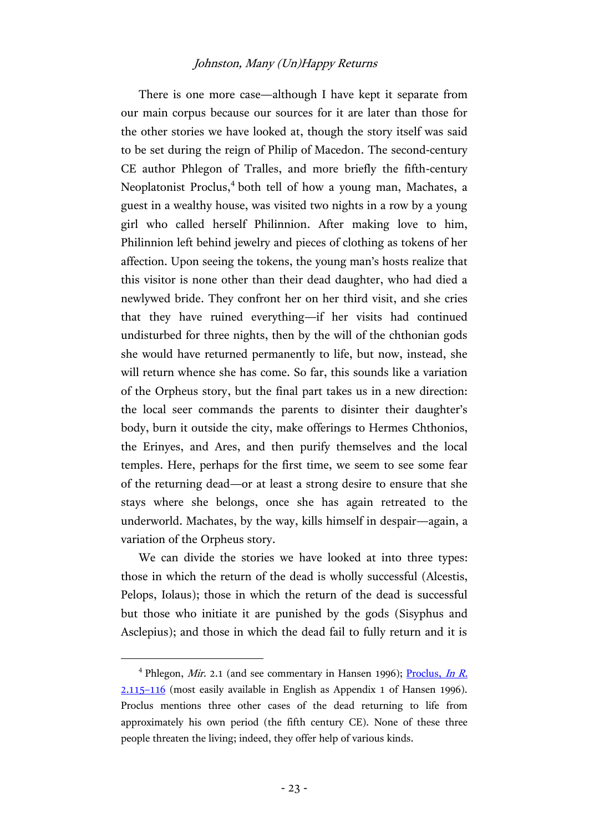There is one more case—although I have kept it separate from our main corpus because our sources for it are later than those for the other stories we have looked at, though the story itself was said to be set during the reign of Philip of Macedon. The second-century CE author Phlegon of Tralles, and more briefly the fifth-century Neoplatonist Proclus,<sup>4</sup> both tell of how a young man, Machates, a guest in a wealthy house, was visited two nights in a row by a young girl who called herself Philinnion. After making love to him, Philinnion left behind jewelry and pieces of clothing as tokens of her affection. Upon seeing the tokens, the young man's hosts realize that this visitor is none other than their dead daughter, who had died a newlywed bride. They confront her on her third visit, and she cries that they have ruined everything—if her visits had continued undisturbed for three nights, then by the will of the chthonian gods she would have returned permanently to life, but now, instead, she will return whence she has come. So far, this sounds like a variation of the Orpheus story, but the final part takes us in a new direction: the local seer commands the parents to disinter their daughter's body, burn it outside the city, make offerings to Hermes Chthonios, the Erinyes, and Ares, and then purify themselves and the local temples. Here, perhaps for the first time, we seem to see some fear of the returning dead—or at least a strong desire to ensure that she stays where she belongs, once she has again retreated to the underworld. Machates, by the way, kills himself in despair—again, a variation of the Orpheus story.

We can divide the stories we have looked at into three types: those in which the return of the dead is wholly successful (Alcestis, Pelops, Iolaus); those in which the return of the dead is successful but those who initiate it are punished by the gods (Sisyphus and Asclepius); and those in which the dead fail to fully return and it is

<sup>&</sup>lt;sup>4</sup> Phlegon, *Mir.* 2.1 (and see commentary in Hansen 1996); [Proclus,](https://archive.org/stream/proclidiadochiin02procuoft#page/115/mode/1up) *In R.* [2.115](https://archive.org/stream/proclidiadochiin02procuoft#page/115/mode/1up)–116 (most easily available in English as Appendix 1 of Hansen 1996). Proclus mentions three other cases of the dead returning to life from approximately his own period (the fifth century CE). None of these three people threaten the living; indeed, they offer help of various kinds.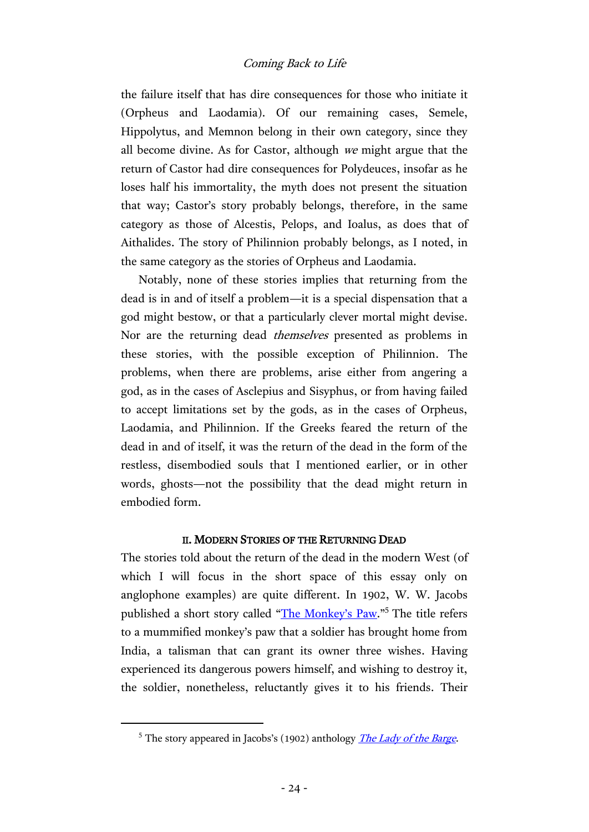the failure itself that has dire consequences for those who initiate it (Orpheus and Laodamia). Of our remaining cases, Semele, Hippolytus, and Memnon belong in their own category, since they all become divine. As for Castor, although we might argue that the return of Castor had dire consequences for Polydeuces, insofar as he loses half his immortality, the myth does not present the situation that way; Castor's story probably belongs, therefore, in the same category as those of Alcestis, Pelops, and Ioalus, as does that of Aithalides. The story of Philinnion probably belongs, as I noted, in the same category as the stories of Orpheus and Laodamia.

Notably, none of these stories implies that returning from the dead is in and of itself a problem—it is a special dispensation that a god might bestow, or that a particularly clever mortal might devise. Nor are the returning dead themselves presented as problems in these stories, with the possible exception of Philinnion. The problems, when there are problems, arise either from angering a god, as in the cases of Asclepius and Sisyphus, or from having failed to accept limitations set by the gods, as in the cases of Orpheus, Laodamia, and Philinnion. If the Greeks feared the return of the dead in and of itself, it was the return of the dead in the form of the restless, disembodied souls that I mentioned earlier, or in other words, ghosts—not the possibility that the dead might return in embodied form.

## II. MODERN STORIES OF THE RETURNING DEAD

The stories told about the return of the dead in the modern West (of which I will focus in the short space of this essay only on anglophone examples) are quite different. In 1902, W. W. Jacobs published a short story called ["The Monkey's](http://hdl.handle.net/2027/mdp.39015005100097?urlappend=%3Bseq=41) Paw."<sup>5</sup> The title refers to a mummified monkey's paw that a soldier has brought home from India, a talisman that can grant its owner three wishes. Having experienced its dangerous powers himself, and wishing to destroy it, the soldier, nonetheless, reluctantly gives it to his friends. Their

<sup>&</sup>lt;sup>5</sup> The story appeared in Jacobs's (1902) anthology *[The Lady of the Barge](https://catalog.hathitrust.org/Record/000117468)*.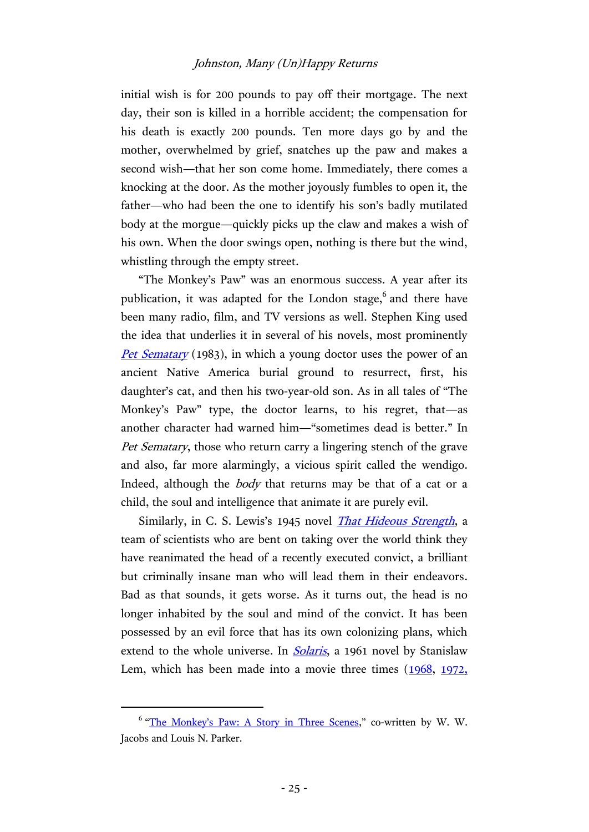initial wish is for 200 pounds to pay off their mortgage. The next day, their son is killed in a horrible accident; the compensation for his death is exactly 200 pounds. Ten more days go by and the mother, overwhelmed by grief, snatches up the paw and makes a second wish—that her son come home. Immediately, there comes a knocking at the door. As the mother joyously fumbles to open it, the father—who had been the one to identify his son's badly mutilated body at the morgue—quickly picks up the claw and makes a wish of his own. When the door swings open, nothing is there but the wind, whistling through the empty street.

"The Monkey's Paw" was an enormous success. A year after its publication, it was adapted for the London stage,<sup>6</sup> and there have been many radio, film, and TV versions as well. Stephen King used the idea that underlies it in several of his novels, most prominently [Pet Sematary](http://www.goodreads.com/book/show/10583) (1983), in which a young doctor uses the power of an ancient Native America burial ground to resurrect, first, his daughter's cat, and then his two-year-old son. As in all tales of "The Monkey's Paw" type, the doctor learns, to his regret, that—as another character had warned him—"sometimes dead is better." In Pet Sematary, those who return carry a lingering stench of the grave and also, far more alarmingly, a vicious spirit called the wendigo. Indeed, although the body that returns may be that of a cat or a child, the soul and intelligence that animate it are purely evil.

Similarly, in C. S. Lewis's 1945 novel [That Hideous Strength](http://www.goodreads.com/book/show/100933), a team of scientists who are bent on taking over the world think they have reanimated the head of a recently executed convict, a brilliant but criminally insane man who will lead them in their endeavors. Bad as that sounds, it gets worse. As it turns out, the head is no longer inhabited by the soul and mind of the convict. It has been possessed by an evil force that has its own colonizing plans, which extend to the whole universe. In *[Solaris](https://www.goodreads.com/book/show/15835432-solaris)*, a 1961 novel by Stanislaw Lem, which has been made into a movie three times [\(1968,](http://www.imdb.com/title/tt1808482/) [1972,](http://www.imdb.com/title/tt0069293/)

<sup>&</sup>lt;sup>6</sup> "The Monkey's [Paw: A Story in Three Scenes](http://hdl.handle.net/2027/mdp.39015033200497?urlappend=%3Bseq=7)," co-written by W. W. Jacobs and Louis N. Parker.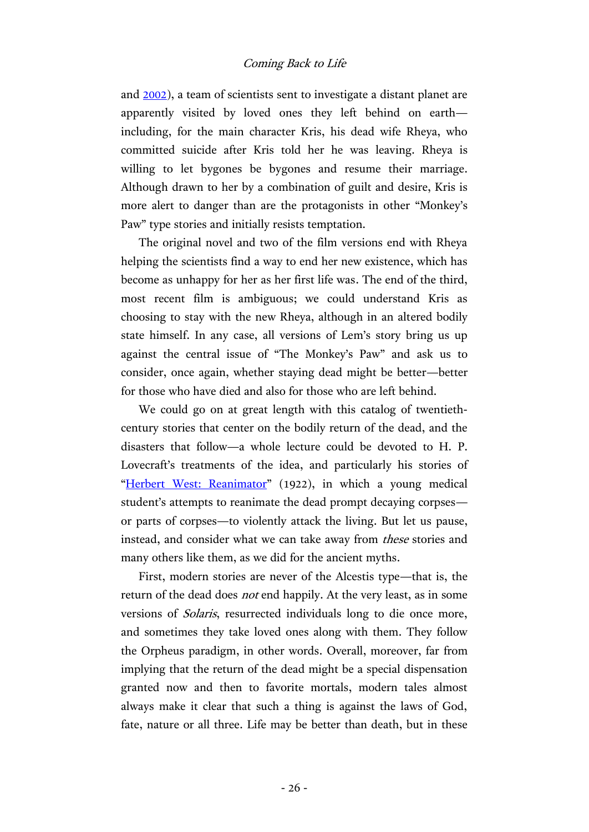and [2002\)](http://www.imdb.com/title/tt0307479/), a team of scientists sent to investigate a distant planet are apparently visited by loved ones they left behind on earth including, for the main character Kris, his dead wife Rheya, who committed suicide after Kris told her he was leaving. Rheya is willing to let bygones be bygones and resume their marriage. Although drawn to her by a combination of guilt and desire, Kris is more alert to danger than are the protagonists in other "Monkey's Paw" type stories and initially resists temptation.

The original novel and two of the film versions end with Rheya helping the scientists find a way to end her new existence, which has become as unhappy for her as her first life was. The end of the third, most recent film is ambiguous; we could understand Kris as choosing to stay with the new Rheya, although in an altered bodily state himself. In any case, all versions of Lem's story bring us up against the central issue of "The Monkey's Paw" and ask us to consider, once again, whether staying dead might be better—better for those who have died and also for those who are left behind.

We could go on at great length with this catalog of twentiethcentury stories that center on the bodily return of the dead, and the disasters that follow—a whole lecture could be devoted to H. P. Lovecraft's treatments of the idea, and particularly his stories of "[Herbert West: Reanimator](http://www.hplovecraft.com/writings/fiction/hwr.aspx)" (1922), in which a young medical student's attempts to reanimate the dead prompt decaying corpses or parts of corpses—to violently attack the living. But let us pause, instead, and consider what we can take away from these stories and many others like them, as we did for the ancient myths.

First, modern stories are never of the Alcestis type—that is, the return of the dead does *not* end happily. At the very least, as in some versions of Solaris, resurrected individuals long to die once more, and sometimes they take loved ones along with them. They follow the Orpheus paradigm, in other words. Overall, moreover, far from implying that the return of the dead might be a special dispensation granted now and then to favorite mortals, modern tales almost always make it clear that such a thing is against the laws of God, fate, nature or all three. Life may be better than death, but in these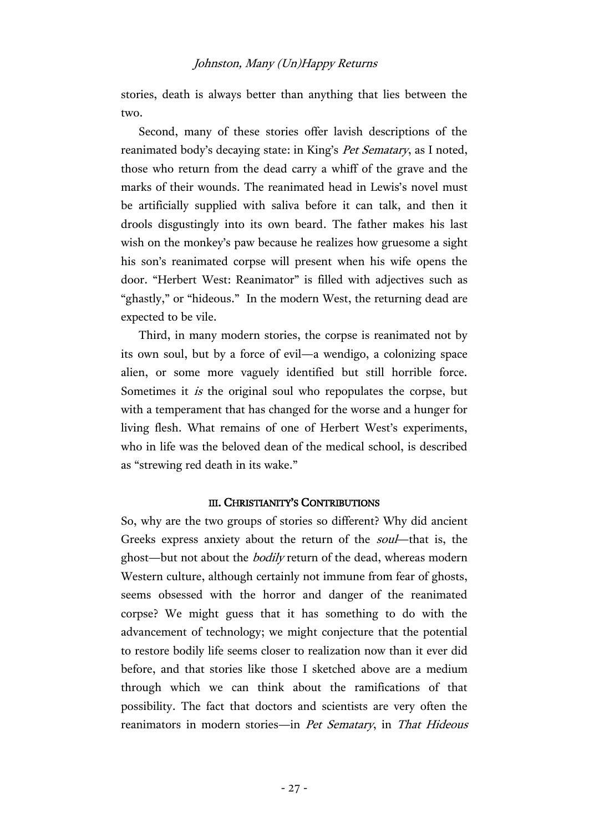stories, death is always better than anything that lies between the two.

Second, many of these stories offer lavish descriptions of the reanimated body's decaying state: in King's Pet Sematary, as I noted, those who return from the dead carry a whiff of the grave and the marks of their wounds. The reanimated head in Lewis's novel must be artificially supplied with saliva before it can talk, and then it drools disgustingly into its own beard. The father makes his last wish on the monkey's paw because he realizes how gruesome a sight his son's reanimated corpse will present when his wife opens the door. "Herbert West: Reanimator" is filled with adjectives such as "ghastly," or "hideous." In the modern West, the returning dead are expected to be vile.

Third, in many modern stories, the corpse is reanimated not by its own soul, but by a force of evil—a wendigo, a colonizing space alien, or some more vaguely identified but still horrible force. Sometimes it is the original soul who repopulates the corpse, but with a temperament that has changed for the worse and a hunger for living flesh. What remains of one of Herbert West's experiments, who in life was the beloved dean of the medical school, is described as "strewing red death in its wake."

## III. CHRISTIANITY'S CONTRIBUTIONS

So, why are the two groups of stories so different? Why did ancient Greeks express anxiety about the return of the soul—that is, the ghost—but not about the bodily return of the dead, whereas modern Western culture, although certainly not immune from fear of ghosts, seems obsessed with the horror and danger of the reanimated corpse? We might guess that it has something to do with the advancement of technology; we might conjecture that the potential to restore bodily life seems closer to realization now than it ever did before, and that stories like those I sketched above are a medium through which we can think about the ramifications of that possibility. The fact that doctors and scientists are very often the reanimators in modern stories—in Pet Sematary, in That Hideous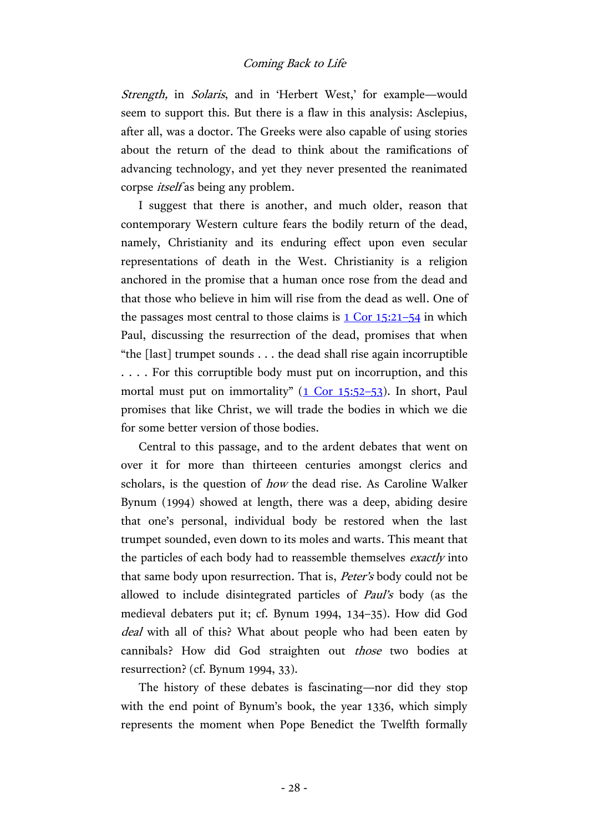Strength, in Solaris, and in 'Herbert West,' for example—would seem to support this. But there is a flaw in this analysis: Asclepius, after all, was a doctor. The Greeks were also capable of using stories about the return of the dead to think about the ramifications of advancing technology, and yet they never presented the reanimated corpse itself as being any problem.

I suggest that there is another, and much older, reason that contemporary Western culture fears the bodily return of the dead, namely, Christianity and its enduring effect upon even secular representations of death in the West. Christianity is a religion anchored in the promise that a human once rose from the dead and that those who believe in him will rise from the dead as well. One of the passages most central to those claims is  $1 \text{ Cor } 15:21-54$  in which Paul, discussing the resurrection of the dead, promises that when "the [last] trumpet sounds . . . the dead shall rise again incorruptible . . . . For this corruptible body must put on incorruption, and this mortal must put on immortality"  $(1$  Cor 15:52–53). In short, Paul promises that like Christ, we will trade the bodies in which we die for some better version of those bodies.

Central to this passage, and to the ardent debates that went on over it for more than thirteeen centuries amongst clerics and scholars, is the question of how the dead rise. As Caroline Walker Bynum (1994) showed at length, there was a deep, abiding desire that one's personal, individual body be restored when the last trumpet sounded, even down to its moles and warts. This meant that the particles of each body had to reassemble themselves exactly into that same body upon resurrection. That is, Peter's body could not be allowed to include disintegrated particles of Paul's body (as the medieval debaters put it; cf. Bynum 1994, 134–35). How did God deal with all of this? What about people who had been eaten by cannibals? How did God straighten out those two bodies at resurrection? (cf. Bynum 1994, 33).

The history of these debates is fascinating—nor did they stop with the end point of Bynum's book, the year 1336, which simply represents the moment when Pope Benedict the Twelfth formally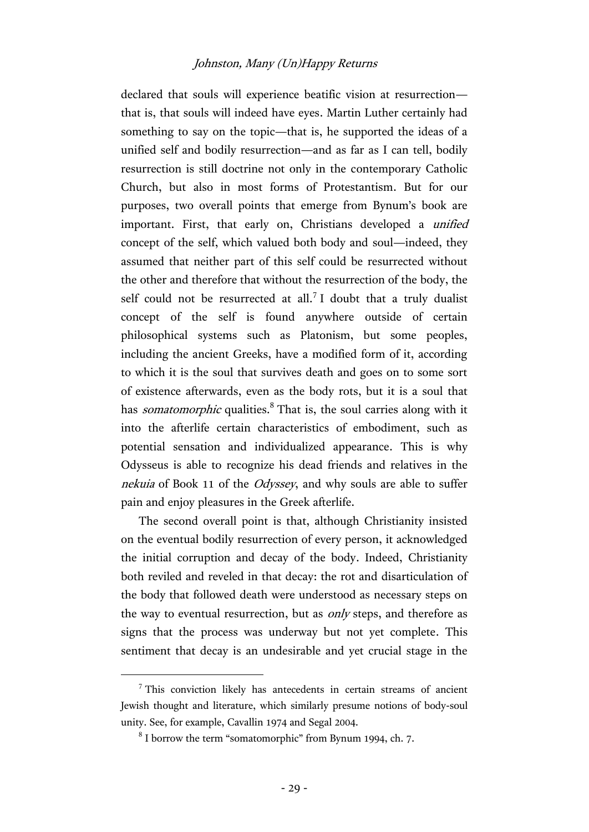declared that souls will experience beatific vision at resurrection that is, that souls will indeed have eyes. Martin Luther certainly had something to say on the topic—that is, he supported the ideas of a unified self and bodily resurrection—and as far as I can tell, bodily resurrection is still doctrine not only in the contemporary Catholic Church, but also in most forms of Protestantism. But for our purposes, two overall points that emerge from Bynum's book are important. First, that early on, Christians developed a unified concept of the self, which valued both body and soul—indeed, they assumed that neither part of this self could be resurrected without the other and therefore that without the resurrection of the body, the self could not be resurrected at all. $7$ I doubt that a truly dualist concept of the self is found anywhere outside of certain philosophical systems such as Platonism, but some peoples, including the ancient Greeks, have a modified form of it, according to which it is the soul that survives death and goes on to some sort of existence afterwards, even as the body rots, but it is a soul that has *somatomorphic* qualities.<sup>8</sup> That is, the soul carries along with it into the afterlife certain characteristics of embodiment, such as potential sensation and individualized appearance. This is why Odysseus is able to recognize his dead friends and relatives in the nekuia of Book 11 of the Odyssey, and why souls are able to suffer pain and enjoy pleasures in the Greek afterlife.

The second overall point is that, although Christianity insisted on the eventual bodily resurrection of every person, it acknowledged the initial corruption and decay of the body. Indeed, Christianity both reviled and reveled in that decay: the rot and disarticulation of the body that followed death were understood as necessary steps on the way to eventual resurrection, but as only steps, and therefore as signs that the process was underway but not yet complete. This sentiment that decay is an undesirable and yet crucial stage in the

<sup>7</sup> This conviction likely has antecedents in certain streams of ancient Jewish thought and literature, which similarly presume notions of body-soul unity. See, for example, Cavallin 1974 and Segal 2004.

<sup>&</sup>lt;sup>8</sup> I borrow the term "somatomorphic" from Bynum 1994, ch. 7.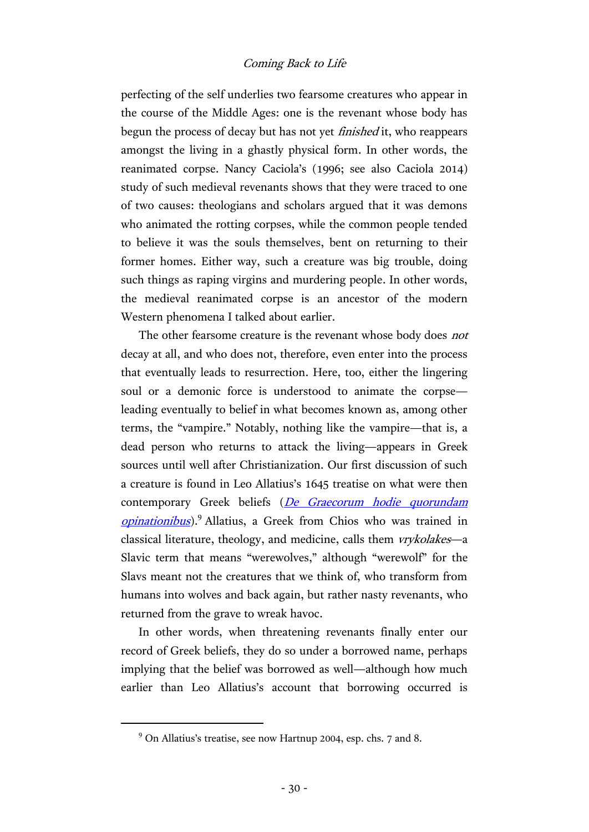perfecting of the self underlies two fearsome creatures who appear in the course of the Middle Ages: one is the revenant whose body has begun the process of decay but has not yet finished it, who reappears amongst the living in a ghastly physical form. In other words, the reanimated corpse. Nancy Caciola's (1996; see also Caciola 2014) study of such medieval revenants shows that they were traced to one of two causes: theologians and scholars argued that it was demons who animated the rotting corpses, while the common people tended to believe it was the souls themselves, bent on returning to their former homes. Either way, such a creature was big trouble, doing such things as raping virgins and murdering people. In other words, the medieval reanimated corpse is an ancestor of the modern Western phenomena I talked about earlier.

The other fearsome creature is the revenant whose body does not decay at all, and who does not, therefore, even enter into the process that eventually leads to resurrection. Here, too, either the lingering soul or a demonic force is understood to animate the corpse leading eventually to belief in what becomes known as, among other terms, the "vampire." Notably, nothing like the vampire—that is, a dead person who returns to attack the living—appears in Greek sources until well after Christianization. Our first discussion of such a creature is found in Leo Allatius's 1645 treatise on what were then contemporary Greek beliefs (De Graecorum hodie quorundam [opinationibus](http://hdl.handle.net/2027/uc1.31175032361431?urlappend=%3Bseq=137)).<sup>9</sup> Allatius, a Greek from Chios who was trained in classical literature, theology, and medicine, calls them vrykolakes—a Slavic term that means "werewolves," although "werewolf" for the Slavs meant not the creatures that we think of, who transform from humans into wolves and back again, but rather nasty revenants, who returned from the grave to wreak havoc.

In other words, when threatening revenants finally enter our record of Greek beliefs, they do so under a borrowed name, perhaps implying that the belief was borrowed as well—although how much earlier than Leo Allatius's account that borrowing occurred is

<sup>9</sup> On Allatius's treatise, see now Hartnup 2004, esp. chs. 7 and 8.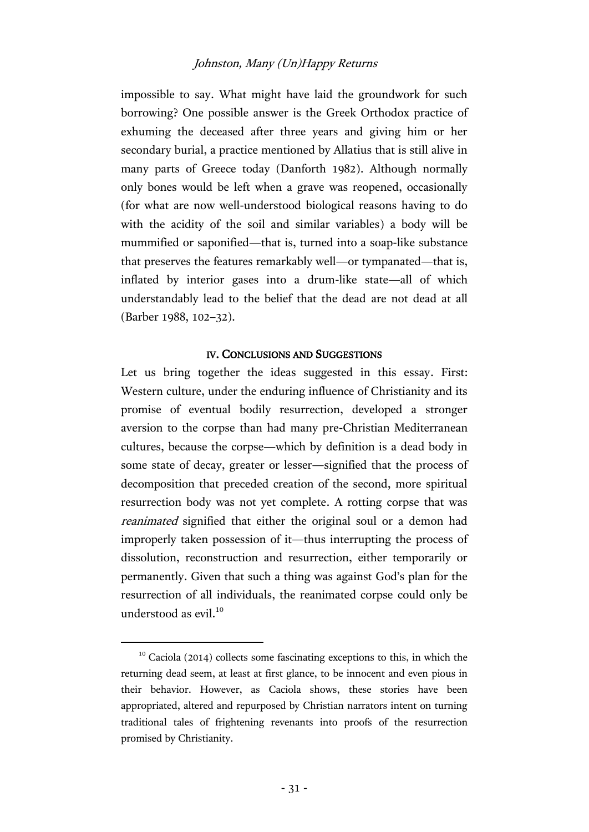impossible to say. What might have laid the groundwork for such borrowing? One possible answer is the Greek Orthodox practice of exhuming the deceased after three years and giving him or her secondary burial, a practice mentioned by Allatius that is still alive in many parts of Greece today (Danforth 1982). Although normally only bones would be left when a grave was reopened, occasionally (for what are now well-understood biological reasons having to do with the acidity of the soil and similar variables) a body will be mummified or saponified—that is, turned into a soap-like substance that preserves the features remarkably well—or tympanated—that is, inflated by interior gases into a drum-like state—all of which understandably lead to the belief that the dead are not dead at all (Barber 1988, 102–32).

#### IV. CONCLUSIONS AND SUGGESTIONS

Let us bring together the ideas suggested in this essay. First: Western culture, under the enduring influence of Christianity and its promise of eventual bodily resurrection, developed a stronger aversion to the corpse than had many pre-Christian Mediterranean cultures, because the corpse—which by definition is a dead body in some state of decay, greater or lesser—signified that the process of decomposition that preceded creation of the second, more spiritual resurrection body was not yet complete. A rotting corpse that was reanimated signified that either the original soul or a demon had improperly taken possession of it—thus interrupting the process of dissolution, reconstruction and resurrection, either temporarily or permanently. Given that such a thing was against God's plan for the resurrection of all individuals, the reanimated corpse could only be understood as  $evil<sup>10</sup>$ 

<sup>&</sup>lt;sup>10</sup> Caciola (2014) collects some fascinating exceptions to this, in which the returning dead seem, at least at first glance, to be innocent and even pious in their behavior. However, as Caciola shows, these stories have been appropriated, altered and repurposed by Christian narrators intent on turning traditional tales of frightening revenants into proofs of the resurrection promised by Christianity.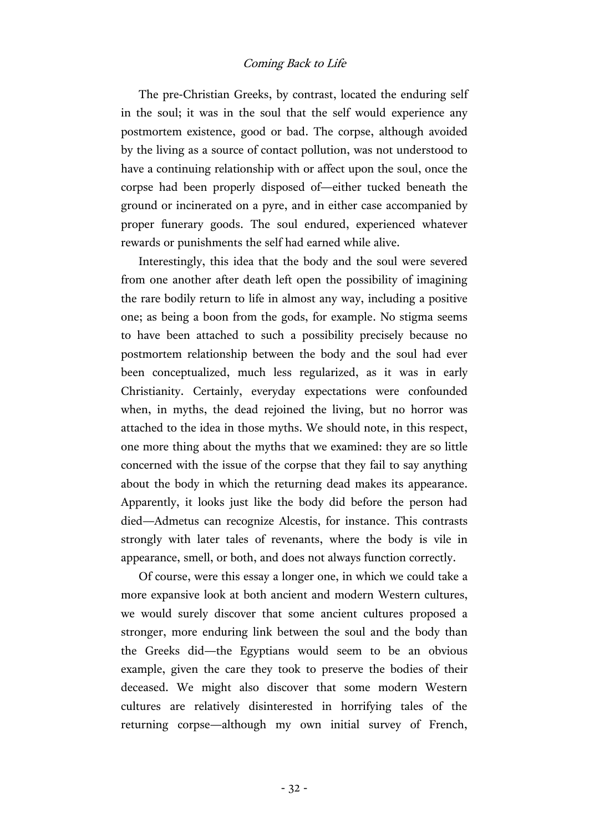The pre-Christian Greeks, by contrast, located the enduring self in the soul; it was in the soul that the self would experience any postmortem existence, good or bad. The corpse, although avoided by the living as a source of contact pollution, was not understood to have a continuing relationship with or affect upon the soul, once the corpse had been properly disposed of—either tucked beneath the ground or incinerated on a pyre, and in either case accompanied by proper funerary goods. The soul endured, experienced whatever rewards or punishments the self had earned while alive.

Interestingly, this idea that the body and the soul were severed from one another after death left open the possibility of imagining the rare bodily return to life in almost any way, including a positive one; as being a boon from the gods, for example. No stigma seems to have been attached to such a possibility precisely because no postmortem relationship between the body and the soul had ever been conceptualized, much less regularized, as it was in early Christianity. Certainly, everyday expectations were confounded when, in myths, the dead rejoined the living, but no horror was attached to the idea in those myths. We should note, in this respect, one more thing about the myths that we examined: they are so little concerned with the issue of the corpse that they fail to say anything about the body in which the returning dead makes its appearance. Apparently, it looks just like the body did before the person had died—Admetus can recognize Alcestis, for instance. This contrasts strongly with later tales of revenants, where the body is vile in appearance, smell, or both, and does not always function correctly.

Of course, were this essay a longer one, in which we could take a more expansive look at both ancient and modern Western cultures, we would surely discover that some ancient cultures proposed a stronger, more enduring link between the soul and the body than the Greeks did—the Egyptians would seem to be an obvious example, given the care they took to preserve the bodies of their deceased. We might also discover that some modern Western cultures are relatively disinterested in horrifying tales of the returning corpse—although my own initial survey of French,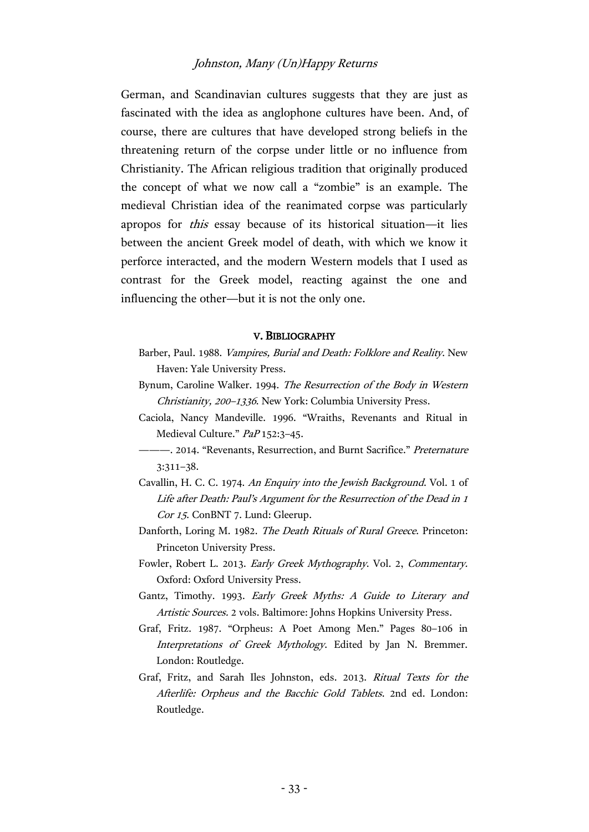German, and Scandinavian cultures suggests that they are just as fascinated with the idea as anglophone cultures have been. And, of course, there are cultures that have developed strong beliefs in the threatening return of the corpse under little or no influence from Christianity. The African religious tradition that originally produced the concept of what we now call a "zombie" is an example. The medieval Christian idea of the reanimated corpse was particularly apropos for this essay because of its historical situation—it lies between the ancient Greek model of death, with which we know it perforce interacted, and the modern Western models that I used as contrast for the Greek model, reacting against the one and influencing the other—but it is not the only one.

#### V. BIBLIOGRAPHY

- Barber, Paul. 1988. Vampires, Burial and Death: Folklore and Reality. New Haven: Yale University Press.
- Bynum, Caroline Walker. 1994. The Resurrection of the Body in Western Christianity, 200–1336. New York: Columbia University Press.
- Caciola, Nancy Mandeville. 1996. "Wraiths, Revenants and Ritual in Medieval Culture." PaP 152:3-45.
- -- 2014. "Revenants, Resurrection, and Burnt Sacrifice." Preternature 3:311–38.
- Cavallin, H. C. C. 1974. An Enquiry into the Jewish Background. Vol. 1 of Life after Death: Paul's Argument for the Resurrection of the Dead in 1 Cor 15. ConBNT 7. Lund: Gleerup.
- Danforth, Loring M. 1982. The Death Rituals of Rural Greece. Princeton: Princeton University Press.
- Fowler, Robert L. 2013. Early Greek Mythography. Vol. 2, Commentary. Oxford: Oxford University Press.
- Gantz, Timothy. 1993. Early Greek Myths: A Guide to Literary and Artistic Sources. 2 vols. Baltimore: Johns Hopkins University Press.
- Graf, Fritz. 1987. "Orpheus: A Poet Among Men." Pages 80–106 in Interpretations of Greek Mythology. Edited by Jan N. Bremmer. London: Routledge.
- Graf, Fritz, and Sarah Iles Johnston, eds. 2013. Ritual Texts for the Afterlife: Orpheus and the Bacchic Gold Tablets. 2nd ed. London: Routledge.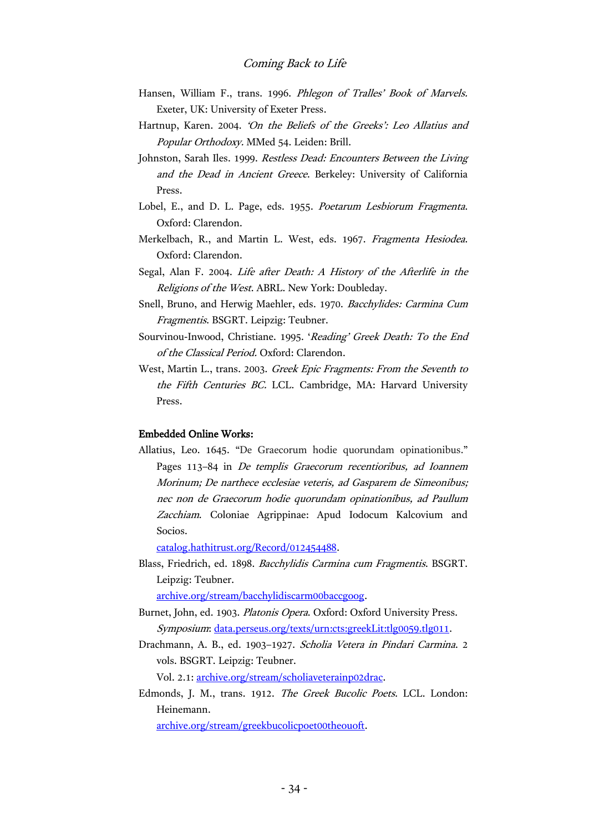- Hansen, William F., trans. 1996. Phlegon of Tralles' Book of Marvels. Exeter, UK: University of Exeter Press.
- Hartnup, Karen. 2004. 'On the Beliefs of the Greeks': Leo Allatius and Popular Orthodoxy. MMed 54. Leiden: Brill.
- Johnston, Sarah Iles. 1999. Restless Dead: Encounters Between the Living and the Dead in Ancient Greece. Berkeley: University of California Press.
- Lobel, E., and D. L. Page, eds. 1955. Poetarum Lesbiorum Fragmenta. Oxford: Clarendon.
- Merkelbach, R., and Martin L. West, eds. 1967. Fragmenta Hesiodea. Oxford: Clarendon.
- Segal, Alan F. 2004. Life after Death: A History of the Afterlife in the Religions of the West. ABRL. New York: Doubleday.
- Snell, Bruno, and Herwig Maehler, eds. 1970. Bacchylides: Carmina Cum Fragmentis. BSGRT. Leipzig: Teubner.
- Sourvinou-Inwood, Christiane. 1995. 'Reading' Greek Death: To the End of the Classical Period. Oxford: Clarendon.
- West, Martin L., trans. 2003. Greek Epic Fragments: From the Seventh to the Fifth Centuries BC. LCL. Cambridge, MA: Harvard University Press.

#### Embedded Online Works:

Allatius, Leo. 1645. "De Graecorum hodie quorundam opinationibus." Pages 113–84 in De templis Graecorum recentioribus, ad Ioannem Morinum; De narthece ecclesiae veteris, ad Gasparem de Simeonibus; nec non de Graecorum hodie quorundam opinationibus, ad Paullum Zacchiam. Coloniae Agrippinae: Apud Iodocum Kalcovium and Socios.

[catalog.hathitrust.org/Record/012454488.](https://catalog.hathitrust.org/Record/012454488)

Blass, Friedrich, ed. 1898. Bacchylidis Carmina cum Fragmentis. BSGRT. Leipzig: Teubner.

[archive.org/stream/bacchylidiscarm00baccgoog.](https://archive.org/stream/bacchylidiscarm00baccgoog)

- Burnet, John, ed. 1903. Platonis Opera. Oxford: Oxford University Press. Symposium: [data.perseus.org/texts/urn:cts:greekLit:tlg0059.tlg011.](http://data.perseus.org/texts/urn:cts:greekLit:tlg0059.tlg011)
- Drachmann, A. B., ed. 1903–1927. Scholia Vetera in Pindari Carmina. 2 vols. BSGRT. Leipzig: Teubner.

Vol. 2.1[: archive.org/stream/scholiaveterainp02drac.](https://archive.org/stream/scholiaveterainp02drac)

Edmonds, J. M., trans. 1912. The Greek Bucolic Poets. LCL. London: Heinemann.

[archive.org/stream/greekbucolicpoet00theouoft.](https://archive.org/stream/greekbucolicpoet00theouoft)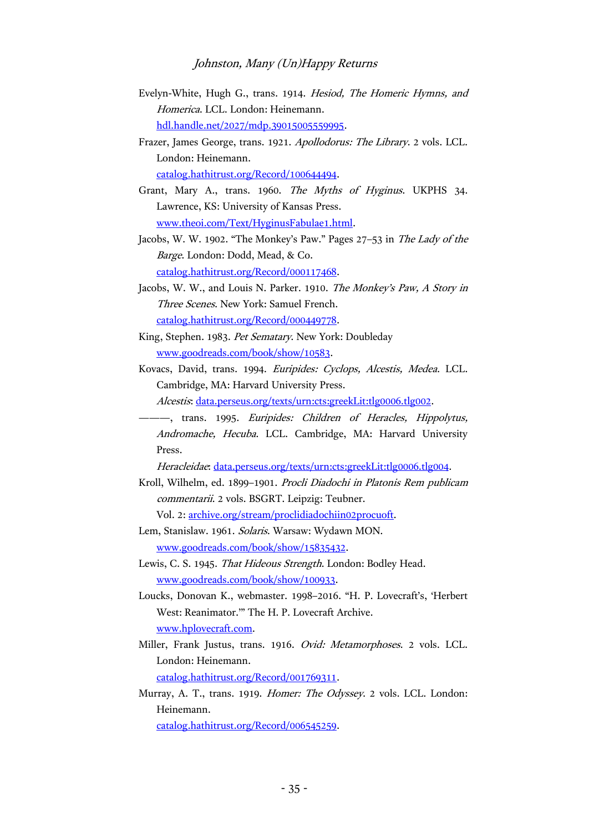Evelyn-White, Hugh G., trans. 1914. Hesiod, The Homeric Hymns, and Homerica. LCL. London: Heinemann. [hdl.handle.net/2027/mdp.39015005559995.](http://hdl.handle.net/2027/mdp.39015005559995)

Frazer, James George, trans. 1921. Apollodorus: The Library. 2 vols. LCL. London: Heinemann. [catalog.hathitrust.org/Record/100644494.](https://catalog.hathitrust.org/Record/100644494)

Grant, Mary A., trans. 1960. The Myths of Hyginus. UKPHS 34. Lawrence, KS: University of Kansas Press. [www.theoi.com/Text/HyginusFabulae1.html.](http://www.theoi.com/Text/HyginusFabulae1.html)

Jacobs, W. W. 1902. "The Monkey's Paw." Pages 27–53 in The Lady of the Barge. London: Dodd, Mead, & Co. [catalog.hathitrust.org/Record/000117468.](https://catalog.hathitrust.org/Record/000117468)

Jacobs, W. W., and Louis N. Parker. 1910. The Monkey's Paw, A Story in Three Scenes. New York: Samuel French. [catalog.hathitrust.org/Record/000449778.](https://catalog.hathitrust.org/Record/000449778)

King, Stephen. 1983. Pet Sematary. New York: Doubleday [www.goodreads.com/book/show/10583.](http://www.goodreads.com/book/show/10583)

Kovacs, David, trans. 1994. Euripides: Cyclops, Alcestis, Medea. LCL. Cambridge, MA: Harvard University Press. Alcestis: [data.perseus.org/texts/urn:cts:greekLit:tlg0006.tlg002.](http://data.perseus.org/texts/urn:cts:greekLit:tlg0006.tlg002)

--, trans. 1995. Euripides: Children of Heracles, Hippolytus, Andromache, Hecuba. LCL. Cambridge, MA: Harvard University Press.

Heracleidae: [data.perseus.org/texts/urn:cts:greekLit:tlg0006.tlg004.](http://data.perseus.org/texts/urn:cts:greekLit:tlg0006.tlg004)

Kroll, Wilhelm, ed. 1899–1901. Procli Diadochi in Platonis Rem publicam commentarii. 2 vols. BSGRT. Leipzig: Teubner.

Vol. 2: [archive.org/stream/proclidiadochiin02procuoft.](https://archive.org/stream/proclidiadochiin02procuoft)

- Lem, Stanislaw. 1961. Solaris. Warsaw: Wydawn MON. [www.goodreads.com/book/show/15835432.](https://www.goodreads.com/book/show/15835432)
- Lewis, C. S. 1945. That Hideous Strength. London: Bodley Head. [www.goodreads.com/book/show/100933.](http://www.goodreads.com/book/show/100933)
- Loucks, Donovan K., webmaster. 1998–2016. "H. P. Lovecraft's, 'Herbert West: Reanimator.'" The H. P. Lovecraft Archive. [www.hplovecraft.com.](http://www.hplovecraft.com/)
- Miller, Frank Justus, trans. 1916. Ovid: Metamorphoses. 2 vols. LCL. London: Heinemann. [catalog.hathitrust.org/Record/001769311.](https://catalog.hathitrust.org/Record/001769311)
- Murray, A. T., trans. 1919. Homer: The Odyssey. 2 vols. LCL. London: Heinemann. [catalog.hathitrust.org/Record/006545259.](https://catalog.hathitrust.org/Record/006545259)

- 35 -